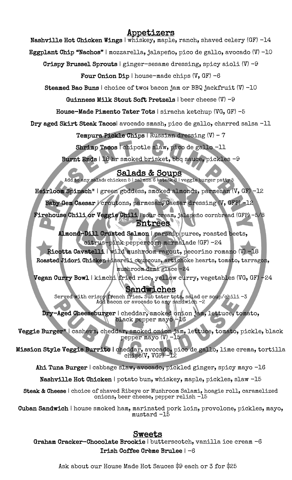# Appetizers

Nashville Hot Chicken Wings | whiskey, maple, ranch, shaved celery (GF) -14

Eggplant Chip "Nachos" | mozzarella, jalapeño, pico de gallo, avocado (V) -10

Crispy Brussel Sprouts | ginger-sesame dressing, spicy aioli  $(V)$  -9

Four Onion Dip | house-made chips  $(V, GF) -6$ 

Steamed Bao Buns | choice of two: bacon jam or BBQ jackfruit (V) -10

Guinness Milk Stout Soft Pretzels | beer cheese (V) -9

House-Made Pimento Tater Tots | siracha ketchup (VG, GF) -5

Dry aged Skirt Steak Tacos| avocado smash, pico de gallo, charred salsa -11

Tempura Pickle Chips | Russian dressing (V) – 7

Shrimp Tacos | chipotle slaw, pico de gallo -11

Burnt Ends | 18 hr smoked brisket, bbq sauce, pickles -9

Salads & Soups<br>Add to any salad: chicken 5 | salmon 6 | steak 8 | veggie burger patty 5

Heirloom Spinach\* | green goddess, smoked almonds, parmesan (V, GF) -12

Baby Gem Caesar | croutons, parmesan, Caesar dressing (V, GFP) -12

 Firehouse Chili or Veggie Chili | sour cream, jalapeño cornbread (GFP) -5/8 Entrees

 $\overline{\phantom{a}}$  Almond-Dill Crusted Salmon | parsnip puree, roasted beets, citrus-pink peppercorn marmalade (GF) -24

 Ricotta Cavatelli | wild mushroom ragout, pecorino romano (V) -18 Roasted Jidori Chicken | isareli couscous, artichoke hearts, tomato, tarragon,

 mushroom demi glace -24 Vegan Curry Bowl | kimchi fried rice, yellow curry, vegetables (VG, GF) -24

# Sandwiches

 $\frac{1}{2}$ ۰<br>N Served with crispy french fries. Sub tater tots, salad or soup/chili -3 Add bacon or avocado to any sandwich -2

 $\sum_{i=1}^{n}$  $\mathsf{r}$ Dry-Aged Cheeseburger | cheddar, smoked onion jam, lettuce, tomato, black pepper mayo -16

 $\geq$  $\mathfrak{a}$ Veggie Burger\* | cashews, cheddar, smoked onion jam, lettuce, tomato, pickle, black pepper mayo (V) -15

 $\frac{1}{2}$ Ι, Mission Style Veggie Burrito | cheddar, avocado, pico de gallo, lime crema, tortilla chips(V, VGP) -12

Ahi Tuna Burger | cabbage slaw, avocado, pickled ginger, spicy mayo -16

 $\overline{\phantom{a}}$ Nashville Hot Chicken | potato bun, whiskey, maple, pickles, slaw -15

Steak & Cheese | choice of shaved Ribeye or Mushroom Salami, hoagie roll, caramelized onions, beer cheese, pepper relish -15

 Cuban Sandwich | house smoked ham, marinated pork loin, provolone, pickles, mayo, mustard -15

# <u>Sweets</u>

ا<br>م Graham Cracker-Chocolate Brookie | butterscotch, vanilla ice cream -6 Irish Coffee Crème Brulee | -6

Ask about our House Made Hot Sauces \$9 each or 3 for \$25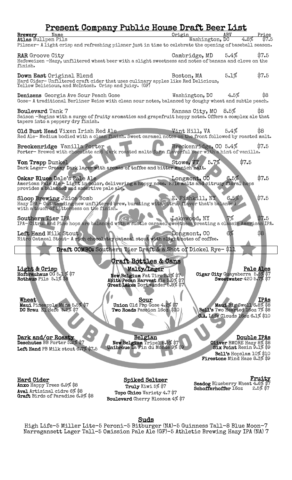# Present Company Public House Draft Beer List

| <u>I I ebeiit oombaily I dolle Hodbe di git deel mibr</u>                                                                       |                                   |                                                           |                    |
|---------------------------------------------------------------------------------------------------------------------------------|-----------------------------------|-----------------------------------------------------------|--------------------|
| Brewery<br>Name                                                                                                                 | Origin                            | <b>ABV</b>                                                | Price              |
| Atlas Bullpen Pils                                                                                                              | Washington, DC                    | 4.8%                                                      | \$7.5              |
| Pilsner-Alight crisp and refreshing pilsner just in time to celebrate the opening of baseball season.                           |                                   |                                                           |                    |
| RAR Groove City                                                                                                                 | Cambridge, MD                     | 5.4%                                                      | \$7.5              |
| Hefeweizen -Hazy, unfiltered wheat beer with a slight sweetness and notes of banana and clove on the                            |                                   |                                                           |                    |
| finish.                                                                                                                         |                                   |                                                           |                    |
|                                                                                                                                 |                                   |                                                           |                    |
| Down East Original Blend                                                                                                        | Boston, MA                        | 5.1%                                                      | \$7.5              |
| Hard Cider-Unfiltered craft cider that uses culinary apples like Red Delicious,                                                 |                                   |                                                           |                    |
| Yellow Delicious, and McIntosh. Crisp and juicy. (GF)                                                                           |                                   |                                                           |                    |
| <b>Denizens</b> Georgia Ave Sour Peach Gose                                                                                     | Washington, $DC$ 4.5%             |                                                           | \$8                |
| Gose-A traditional Berliner Weiss with clean sour notes, balanced by doughy wheat and subtle peach.                             |                                   |                                                           |                    |
|                                                                                                                                 |                                   |                                                           |                    |
| <b>Boulevard</b> Tank 7                                                                                                         | Kansas City, MO 8.5%              |                                                           | \$8                |
| Saison -Begins with a surge of fruity aromatics and grapefruit hoppy notes. Offers a complex ale that                           |                                   |                                                           |                    |
| tapers into a peppery dry finish.                                                                                               |                                   |                                                           |                    |
|                                                                                                                                 |                                   |                                                           |                    |
| Old Bust Head Vixen Irish Red Ale                                                                                               | $\blacksquare$ Vint Hill, VA 5.4% |                                                           | \$8                |
| Red Ale-Medium bodied with a clean finish. Sweet caramel notes on the front followed by roasted malt.                           |                                   |                                                           |                    |
| Breckenridge Vanilla Porter                                                                                                     | Breckenridge, CO 5.4%             |                                                           | \$7.5              |
| Porter-Brewed with chocolate and dark roasted malts for a flavorful beer with a hint of vanilla.                                |                                   |                                                           |                    |
|                                                                                                                                 |                                   |                                                           |                    |
| Von Trapp Dunkel                                                                                                                | 5.7%<br>Stowe, VT                 | \$7.5                                                     |                    |
| Dark Lager- Creamy Dark lager with aromas of toffee and bitter munich malt.                                                     |                                   |                                                           |                    |
|                                                                                                                                 |                                   |                                                           |                    |
| Oskar Blues Dale's Pale Ale                                                                                                     | Longmont, CO                      | 6.5%                                                      | \$7.5              |
| American Pale Ale - Light in color, delivering a hoppy nose. Pale malts and citrusy floral hops                                 |                                   |                                                           |                    |
| provides a balanced and assertive pale ale.                                                                                     |                                   |                                                           |                    |
| <b>Sloop Brewing Juice Bomb</b>                                                                                                 | E. Fishkill, NY                   | 6.5%                                                      | \$7.5              |
| Hazy IPA - Outstanding new unfiltered brew, bursting with citrus flavor that's balanced                                         |                                   |                                                           |                    |
| with a touch of bitterness on the finish.                                                                                       |                                   |                                                           |                    |
|                                                                                                                                 |                                   |                                                           |                    |
| <b>Southern Tier IPA</b>                                                                                                        | Lakewood, NY                      |                                                           | \$7.5              |
| IPA-Citrus and Pine hops are balanced with a subtle caramel sweetness creating a classic American IPA.                          |                                   |                                                           |                    |
|                                                                                                                                 |                                   |                                                           |                    |
| Left Hand Milk Stout<br>Nitro Oatmeal Stout- A rich chocolatey oatmeal stout with slight notes of coffee.                       | Longmont, CO                      | 6%                                                        | \$8                |
|                                                                                                                                 |                                   |                                                           |                    |
| Draft COMBO: Southern Tier Draft & a Shot of Dickel Rye-\$11                                                                    |                                   |                                                           |                    |
|                                                                                                                                 |                                   |                                                           |                    |
| <b>Craft Bottles &amp; Cans</b>                                                                                                 |                                   |                                                           |                    |
|                                                                                                                                 |                                   |                                                           |                    |
| Light & Crisp<br>Malty/Lager                                                                                                    |                                   |                                                           | Pale Ales          |
| Hofbrauhaus $00\bar{5}$ . 1 % \$7<br>New Belgium Fat Tire 5.2% \$7<br>Abita Pecan Harvest Ale 5.0% \$7<br>Rothaus Pils 5.1% \$8 |                                   | Cigar City Guayaberra 5.5% \$7<br>Sweetwater 420 5.7% \$7 |                    |
| Great Lakes Dortmunder 5.8% \$7                                                                                                 |                                   |                                                           |                    |
|                                                                                                                                 |                                   |                                                           |                    |
|                                                                                                                                 |                                   |                                                           |                    |
| Sour<br>Wheat                                                                                                                   |                                   |                                                           | <b>IPAs</b>        |
| Maui Pineapple Mana 5.5% \$7<br>Union Old Pro Gose 4.2% \$7                                                                     |                                   | Maui Big Swell 6.8% \$8<br>Bell's Two Hearted 16oz 7% \$8 |                    |
| DC Brau El Hefe 5.2% \$7<br>Two Roads Passion 16oz \$10                                                                         |                                   |                                                           |                    |
|                                                                                                                                 |                                   | <b>C.A.</b> Life Clouds 16oz 6.1% \$10                    |                    |
|                                                                                                                                 |                                   |                                                           |                    |
|                                                                                                                                 |                                   |                                                           |                    |
|                                                                                                                                 |                                   |                                                           |                    |
| Dark and/or Roasty<br><u>Belgian</u>                                                                                            |                                   |                                                           | <u>Double IPAs</u> |

Deschutes BB Porter 5.2% \$7 Left Hand PB Milk stout 6.7% \$7.5

New Belgium Tripel 8.5% \$7<br>Unibroue La Fin du Monde 9%

**Double IPAs**<br>**Oliver** BMORE Hazy 8% \$8 Six Point Resin 9.1% \$9 Bell's Hopslam 10% \$10 Firestone Mind Haze 8.3% \$9

Hard Cider Anxo Happy Trees 6.9% \$8 Aval Artisinal cidre 6% \$8<br>Graft Birds of Paradise 6.9% \$8

Spiked Seltzer Truly Kiwi 5% \$7 Topo Chico Variety 4.7 \$7 Boulevard Cherry Blossom 4% \$7 Fruity<br>Seadog Blueberry Wheat 4.6% \$7<br>Schofferhoffer 16oz 2.5% \$7

Suds<br>High Life-5 Miller Lite-5 Peroni-5 Bitburger (NA)-5 Guinness Tall-8 Blue Moon-7 Narragansett Lager Tall–5 Omission Pale Ale (GF)-5 Athletic Brewing Hazy IPA (NA) 7